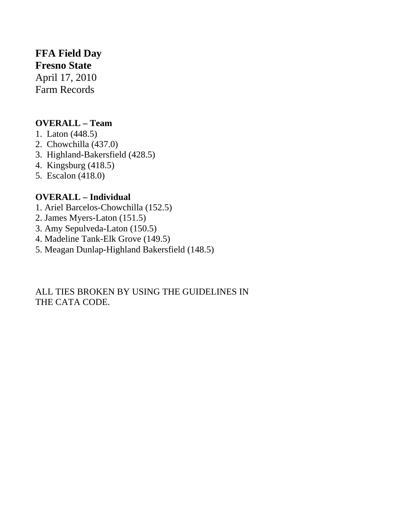## **FFA Field Day**

**Fresno State**  April 17, 2010 Farm Records

## **OVERALL – Team**

- 1. Laton (448.5)
- 2. Chowchilla (437.0)
- 3. Highland-Bakersfield (428.5)
- 4. Kingsburg (418.5)
- 5. Escalon (418.0)

## **OVERALL – Individual**

- 1. Ariel Barcelos-Chowchilla (152.5)
- 2. James Myers-Laton (151.5)
- 3. Amy Sepulveda-Laton (150.5)
- 4. Madeline Tank-Elk Grove (149.5)
- 5. Meagan Dunlap-Highland Bakersfield (148.5)

ALL TIES BROKEN BY USING THE GUIDELINES IN THE CATA CODE.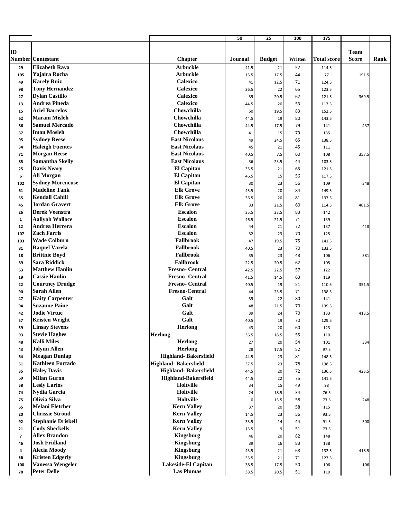|                          |                                                 |                                        | 50             | 25            | 100      | 175                |              |      |
|--------------------------|-------------------------------------------------|----------------------------------------|----------------|---------------|----------|--------------------|--------------|------|
|                          |                                                 |                                        |                |               |          |                    |              |      |
| ID                       |                                                 |                                        |                |               |          |                    | <b>Team</b>  |      |
|                          | <b>Number</b> Contestant                        | <b>Chapter</b>                         | <b>Journal</b> | <b>Budget</b> | Written  | <b>Total score</b> | <b>Score</b> | Rank |
| 29                       | <b>Elizabeth Raya</b>                           | <b>Arbuckle</b>                        | 41.5           | 21            | 52       | 114.5              |              |      |
| 105                      | Yajaira Rocha                                   | <b>Arbuckle</b>                        | 15.5           | 17.5          | 44       | 77                 | 191.5        |      |
| 49                       | <b>Karely Ruiz</b>                              | <b>Calexico</b>                        | 41             | 12.5          | 71       | 124.5              |              |      |
| 98                       | <b>Tony Hernandez</b>                           | <b>Calexico</b>                        | 36.5           | 22            | 65       | 123.5              |              |      |
| 27                       | <b>Dylan Castillo</b>                           | <b>Calexico</b><br>Calexico            | 39             | 20.5          | 62       | 121.5              | 369.5        |      |
| 13                       | <b>Andrea Pineda</b><br><b>Ariel Barcelos</b>   | Chowchilla                             | 44.5           | 20            | 53       | 117.5              |              |      |
| 15                       | <b>Maram Misleh</b>                             | Chowchilla                             | 50             | 19.5          | 83       | 152.5              |              |      |
| 62                       | <b>Samuel Mercado</b>                           | Chowchilla                             | 44.5           | 19            | 80       | 143.5              |              |      |
| 86                       | <b>Iman Mosleh</b>                              | Chowchilla                             | 44.5           | 17.5          | 79       | 141                | 437          |      |
| 37                       | <b>Sydney Reese</b>                             | <b>East Nicolaus</b>                   | 41             | 15            | 79       | 135                |              |      |
| 95                       | <b>Haleigh Fuentes</b>                          | <b>East Nicolaus</b>                   | 49             | 24.5          | 65       | 138.5              |              |      |
| 34                       |                                                 | <b>East Nicolaus</b>                   | 45             | 21            | 45       | 111                |              |      |
| 71                       | <b>Morgan Reese</b>                             |                                        | 40.5           | 7.5           | 60       | 108                | 357.5        |      |
| 85                       | <b>Samantha Skelly</b>                          | <b>East Nicolaus</b>                   | 36             | 23.5          | 44       | 103.5              |              |      |
| 25                       | <b>Davis Neary</b>                              | <b>El Capitan</b>                      | 35.5           | 21            | 65       | 121.5              |              |      |
| 6                        | Ali Morgan                                      | <b>El Capitan</b><br><b>El Capitan</b> | 46.5           | 15            | 56       | 117.5              |              |      |
| 102                      | <b>Sydney Morencuse</b><br><b>Madeline Tank</b> | <b>Elk Grove</b>                       | 30             | 23            | 56       | 109                | 348          |      |
| 61                       | <b>Kendall Cahill</b>                           | <b>Elk Grove</b>                       | 45.5           | 20            | 84       | 149.5              |              |      |
| 55                       | <b>Jordan Gravert</b>                           | <b>Elk Grove</b>                       | 36.5           | 20            | 81       | 137.5              |              |      |
| 45                       |                                                 | <b>Escalon</b>                         | 33             | 21.5          | 60       | 114.5              | 401.5        |      |
| 26                       | <b>Derek Veenstra</b>                           | <b>Escalon</b>                         | 35.5           | 23.5          | 83       | 142                |              |      |
| $\mathbf{1}$             | <b>Aaliyah Wallace</b><br><b>Andrea Herrera</b> | <b>Escalon</b>                         | 46.5           | 21.5          | 71       | 139                |              |      |
| 12                       | <b>Zach Farris</b>                              | <b>Escalon</b>                         | 44             | 21            | 72       | 137                | 418          |      |
| 107                      | <b>Wade Colburn</b>                             | Fallbrook                              | 32             | 23            | 70       | 125                |              |      |
| 103                      | <b>Raquel Varela</b>                            | <b>Fallbrook</b>                       | 47             | 19.5          | 75       | 141.5              |              |      |
| 81                       | <b>Brittnie Boyd</b>                            | <b>Fallbrook</b>                       | 40.5           | 23            | 70       | 133.5              |              |      |
| 18                       | <b>Sara Riddick</b>                             | <b>Fallbrook</b>                       | 35             | 23            | 48       | 106                | 381          |      |
| 89                       | <b>Matthew Hanlin</b>                           | <b>Fresno-Central</b>                  | 22.5           | 20.5          | 62<br>57 | 105                |              |      |
| 63                       | <b>Cassie Hanlin</b>                            | <b>Fresno-Central</b>                  | 42.5           | 22.5          |          | 122                |              |      |
| 19                       | <b>Courtney Drudge</b>                          | <b>Fresno-Central</b>                  | 41.5           | 14.5<br>19    | 63<br>51 | 119<br>110.5       | 351.5        |      |
| 22<br>90                 | <b>Sarah Allen</b>                              | <b>Fresno-Central</b>                  | 40.5           | 23.5          | 71       | 138.5              |              |      |
| 47                       | <b>Kaity Carpenter</b>                          | Galt                                   | 44             | 22            | 80       | 141                |              |      |
| 94                       | <b>Suzanne Paine</b>                            | Galt                                   | 39<br>48       | 21.5          | 70       | 139.5              |              |      |
| 42                       | <b>Jodie Virtue</b>                             | Galt                                   | 39             | 24            | 70       | 133                | 413.5        |      |
| 57                       | <b>Kristen Wright</b>                           | Galt                                   | 40.5           | 19            | 70       | 129.5              |              |      |
| 59                       | <b>Linsay Stevens</b>                           | <b>Herlong</b>                         | 43             | 20            | 60       | 123                |              |      |
| 93                       | <b>Stevie Haghes</b>                            | <b>Herlong</b>                         | 36.5           | 18.5          | 55       | 110                |              |      |
| 48                       | <b>Kalli Miles</b>                              | Herlong                                | 27             | 20            | 54       | 101                | 334          |      |
| 43                       | <b>Jolynn Allen</b>                             | Herlong                                | 28             | 17.5          | 52       | 97.5               |              |      |
| 64                       | <b>Meagan Dunlap</b>                            | Highland-Bakersfield                   | 44.5           | 23            | 81       | 148.5              |              |      |
| 51                       | <b>Kathleen Furtado</b>                         | <b>Highland-Bakersfield</b>            | 37.5           | 23            | 78       | 138.5              |              |      |
| 35                       | <b>Haley Davis</b>                              | Highland-Bakersfield                   | 44.5           | 20            | 72       | 136.5              | 423.5        |      |
| 69                       | <b>Milan Guron</b>                              | <b>Highland-Bakersfield</b>            | 44.5           | 22            | 75       | 141.5              |              |      |
| 58                       | <b>Lesly Larios</b>                             | Holtville                              | 34             | 15            | 49       | 98                 |              |      |
| 74                       | <b>Nydia Garcia</b>                             | Holtville                              | 24             | 18.5          | 34       | 76.5               |              |      |
| 75                       | Olivia Silva                                    | <b>Holtville</b>                       |                | 15.5          | 58       | 73.5               | 248          |      |
| 65                       | <b>Melani Fletcher</b>                          | <b>Kern Valley</b>                     | 37             | 20            | 58       | 115                |              |      |
| 20                       | <b>Chrissie Stroud</b>                          | <b>Kern Valley</b>                     | 14.5           | 23            | 56       | 93.5               |              |      |
| 92                       | <b>Stephanie Driskell</b>                       | <b>Kern Valley</b>                     | 33.5           | 14            | 44       | 91.5               | 300          |      |
| 21                       | <b>Cody Sheckells</b>                           | <b>Kern Valley</b>                     | 13.5           | 9             | 51       | 73.5               |              |      |
| $\overline{\phantom{a}}$ | <b>Allex Brandon</b>                            | <b>Kingsburg</b>                       | 46             | 20            | 82       | 148                |              |      |
| 46                       | <b>Josh Fridland</b>                            | <b>Kingsburg</b>                       | 39             | 16            | 83       | 138                |              |      |
| 4                        | <b>Alecia Moody</b>                             | <b>Kingsburg</b>                       | 43.5           | 21            | 68       | 132.5              | 418.5        |      |
| 56                       | <b>Kristen Edgerly</b>                          | <b>Kingsburg</b>                       | 35.5           | 21            | 71       | 127.5              |              |      |
| 100                      | <b>Vanessa Wengeler</b>                         | Lakeside-El Capitan                    | 38.5           | 17.5          | 50       | 106                | 106          |      |
| 78                       | <b>Peter Delle</b>                              | <b>Las Plumas</b>                      | 38.5           | 20.5          | 51       | 110                |              |      |
|                          |                                                 |                                        |                |               |          |                    |              |      |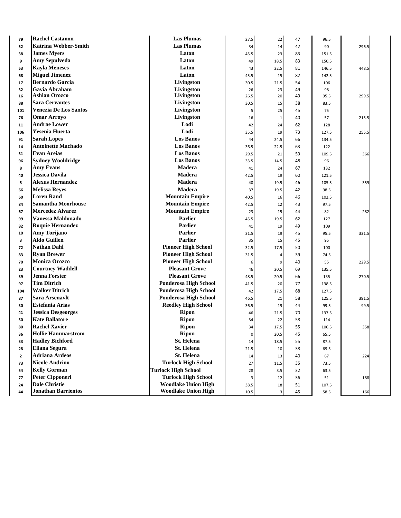| 79             | <b>Rachel Castanon</b>       | <b>Las Plumas</b>            | 27.5      | 22                      | 47 | 96.5  |       |
|----------------|------------------------------|------------------------------|-----------|-------------------------|----|-------|-------|
| 52             | <b>Katrina Webber-Smith</b>  | <b>Las Plumas</b>            | 34        | 14                      | 42 | 90    | 296.5 |
| 38             | <b>James Myers</b>           | Laton                        | 45.5      | 23                      | 83 | 151.5 |       |
| 9              | Amy Sepulveda                | Laton                        | 49        | 18.5                    | 83 | 150.5 |       |
| 53             | <b>Kayla Meneses</b>         | Laton                        | 43        | 22.5                    | 81 | 146.5 | 448.5 |
| 68             | <b>Miguel Jimenez</b>        | Laton                        | 45.5      | 15                      | 82 | 142.5 |       |
| 17             | <b>Bernardo Garcia</b>       | Livingston                   | 30.5      | 21.5                    | 54 | 106   |       |
| 32             | Gavia Abraham                | Livingston                   | 26        | 23                      | 49 | 98    |       |
| 16             | Ashlan Orozco                | Livingston                   | 26.5      | 20                      | 49 | 95.5  | 299.5 |
| 88             | <b>Sara Cervantes</b>        | Livingston                   | 30.5      | 15                      | 38 | 83.5  |       |
| 101            | <b>Venezia De Los Santos</b> | Livingston                   | 5         | 25                      | 45 | 75    |       |
| 76             | <b>Omar Arroyo</b>           | Livingston                   | 16        | $\mathbf{1}$            | 40 | 57    | 215.5 |
| 11             | Andrae Lower                 | Lodi                         | 42        | 24                      | 62 | 128   |       |
| 106            | Yesenia Huerta               | Lodi                         | 35.5      | 19                      | 73 | 127.5 | 255.5 |
| 91             | <b>Sarah Lopes</b>           | <b>Los Banos</b>             | 44        | 24.5                    | 66 | 134.5 |       |
| 14             | <b>Antoinette Machado</b>    | <b>Los Banos</b>             | 36.5      | 22.5                    | 63 | 122   |       |
| 31             | <b>Evan Areias</b>           | <b>Los Banos</b>             | 29.5      | 21                      | 59 | 109.5 | 366   |
| 96             | <b>Sydney Wooldridge</b>     | <b>Los Banos</b>             | 33.5      | 14.5                    | 48 | 96    |       |
| 8              | <b>Amy Evans</b>             | <b>Madera</b>                | 41        | 24                      | 67 | 132   |       |
| 40             | Jessica Davila               | <b>Madera</b>                | 42.5      | 19                      | 60 | 121.5 |       |
| 5              | <b>Alexus Hernandez</b>      | <b>Madera</b>                | 40        | 19.5                    | 46 | 105.5 | 359   |
| 66             | <b>Melissa Reyes</b>         | <b>Madera</b>                | 37        | 19.5                    | 42 | 98.5  |       |
| 60             | <b>Loren Rand</b>            | <b>Mountain Empire</b>       | 40.5      | 16                      | 46 | 102.5 |       |
| 84             | <b>Samantha Moorhouse</b>    | <b>Mountain Empire</b>       | 42.5      | 12                      | 43 | 97.5  |       |
| 67             | <b>Mercedez Alvarez</b>      | <b>Mountain Empire</b>       | 23        | 15                      | 44 | 82    | 282   |
| 99             | Vanessa Maldonado            | <b>Parlier</b>               | 45.5      | 19.5                    | 62 | 127   |       |
| 82             | <b>Roquie Hernandez</b>      | <b>Parlier</b>               | 41        | 19                      | 49 | 109   |       |
| 10             | Amy Torijano                 | <b>Parlier</b>               | 31.5      | 19                      | 45 | 95.5  | 331.5 |
| 3              | Aldo Guillen                 | Parlier                      | 35        | 15                      | 45 | 95    |       |
| 72             | <b>Nathan Dahl</b>           | <b>Pioneer High School</b>   | 32.5      | 17.5                    | 50 | 100   |       |
| 83             | <b>Ryan Brewer</b>           | <b>Pioneer High School</b>   | 31.5      | 4                       | 39 | 74.5  |       |
| 70             | <b>Monica Orozco</b>         | <b>Pioneer High School</b>   | 6         | 9                       | 40 | 55    | 229.5 |
| 23             | <b>Courtney Waddell</b>      | <b>Pleasant Grove</b>        | 46        | 20.5                    | 69 | 135.5 |       |
| 39             | <b>Jenna Forster</b>         | <b>Pleasant Grove</b>        | 48.5      | 20.5                    | 66 | 135   | 270.5 |
| 97             | <b>Tim Ditrich</b>           | <b>Ponderosa High School</b> | 41.5      | 20                      | 77 | 138.5 |       |
| 104            | <b>Walker Ditrich</b>        | <b>Ponderosa High School</b> | 42        | 17.5                    | 68 | 127.5 |       |
| 87             | Sara Arsenavlt               | <b>Ponderosa High School</b> | 46.5      | 21                      | 58 | 125.5 | 391.5 |
| 30             | <b>Estefania Arias</b>       | <b>Reedley High School</b>   | 36.5      | 19                      | 44 | 99.5  | 99.5  |
| 41             | <b>Jessica Desgeorges</b>    | <b>Ripon</b>                 | 46        | 21.5                    | 70 | 137.5 |       |
| 50             | <b>Kate Ballatore</b>        | <b>Ripon</b>                 | 34        | 22                      | 58 | 114   |       |
| 80             | <b>Rachel Xavier</b>         | <b>Ripon</b>                 | 34        | 17.5                    | 55 | 106.5 | 358   |
| 36             | <b>Hollie Hammarstrom</b>    | <b>Ripon</b>                 | $\pmb{0}$ | 20.5                    | 45 | 65.5  |       |
| 33             | <b>Hadley Bichford</b>       | St. Helena                   | 14        | 18.5                    | 55 | 87.5  |       |
| 28             | <b>Eliana Segura</b>         | St. Helena                   | 21.5      | 10                      | 38 | 69.5  |       |
| $\overline{2}$ | <b>Adriana Ardeos</b>        | <b>St. Helena</b>            | 14        | 13                      | 40 | 67    | 224   |
| 73             | <b>Nicole Andrino</b>        | <b>Turlock High School</b>   | 27        | 11.5                    | 35 | 73.5  |       |
| 54             | <b>Kelly Gorman</b>          | <b>Turlock High School</b>   | 28        | 3.5                     | 32 | 63.5  |       |
| 77             | <b>Peter Cipponeri</b>       | <b>Turlock High School</b>   | 3         | 12                      | 36 | 51    | 188   |
| 24             | <b>Dale Christie</b>         | <b>Woodlake Union High</b>   | 38.5      | 18                      | 51 | 107.5 |       |
| 44             | <b>Jonathan Barrientos</b>   | <b>Woodlake Union High</b>   | 10.5      | $\overline{\mathbf{3}}$ | 45 | 58.5  | 166   |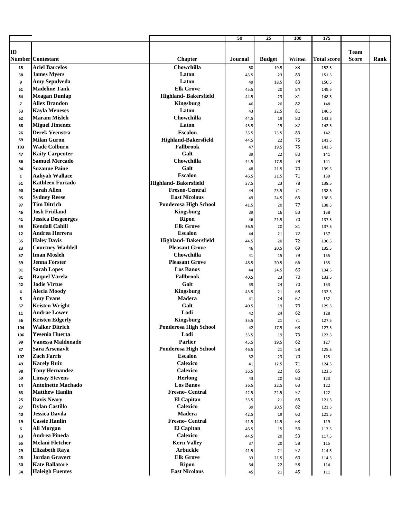|                |                                            |                                      | 50         | 25            | 100      | 175                |                             |      |
|----------------|--------------------------------------------|--------------------------------------|------------|---------------|----------|--------------------|-----------------------------|------|
|                |                                            |                                      |            |               |          |                    |                             |      |
| ID             | Number Contestant                          |                                      | Journal    |               | Written  |                    | <b>Team</b><br><b>Score</b> |      |
|                | <b>Ariel Barcelos</b>                      | <b>Chapter</b><br>Chowchilla         |            | <b>Budget</b> |          | <b>Total score</b> |                             | Rank |
| 15             | <b>James Myers</b>                         | Laton                                | 50         | 19.5          | 83<br>83 | 152.5              |                             |      |
| 38<br>9        | Amy Sepulveda                              | Laton                                | 45.5       | 23            | 83       | 151.5              |                             |      |
| 61             | <b>Madeline Tank</b>                       | <b>Elk Grove</b>                     | 49<br>45.5 | 18.5<br>20    | 84       | 150.5<br>149.5     |                             |      |
| 64             | <b>Meagan Dunlap</b>                       | Highland-Bakersfield                 | 44.5       | 23            | 81       | 148.5              |                             |      |
| $\overline{7}$ | <b>Allex Brandon</b>                       | <b>Kingsburg</b>                     | 46         | 20            | 82       | 148                |                             |      |
| 53             | <b>Kayla Meneses</b>                       | Laton                                | 43         | 22.5          | 81       | 146.5              |                             |      |
| 62             | <b>Maram Misleh</b>                        | Chowchilla                           | 44.5       | 19            | 80       | 143.5              |                             |      |
| 68             | <b>Miguel Jimenez</b>                      | Laton                                | 45.5       | 15            | 82       | 142.5              |                             |      |
| 26             | <b>Derek Veenstra</b>                      | <b>Escalon</b>                       | 35.5       | 23.5          | 83       | 142                |                             |      |
| 69             | <b>Milan Guron</b>                         | <b>Highland-Bakersfield</b>          | 44.5       | 22            | 75       | 141.5              |                             |      |
| 103            | <b>Wade Colburn</b>                        | <b>Fallbrook</b>                     | 47         | 19.5          | 75       | 141.5              |                             |      |
| 47             | <b>Kaity Carpenter</b>                     | Galt                                 | 39         | 22            | 80       | 141                |                             |      |
| 86             | <b>Samuel Mercado</b>                      | Chowchilla                           | 44.5       | 17.5          | 79       | 141                |                             |      |
| 94             | <b>Suzanne Paine</b>                       | Galt                                 | 48         | 21.5          | 70       | 139.5              |                             |      |
| $\mathbf{1}$   | <b>Aaliyah Wallace</b>                     | <b>Escalon</b>                       | 46.5       | 21.5          | 71       | 139                |                             |      |
| 51             | Kathleen Furtado                           | <b>Highland-Bakersfield</b>          | 37.5       | 23            | 78       | 138.5              |                             |      |
| 90             | <b>Sarah Allen</b>                         | <b>Fresno-Central</b>                | 44         | 23.5          | 71       | 138.5              |                             |      |
| 95             | <b>Sydney Reese</b>                        | <b>East Nicolaus</b>                 | 49         | 24.5          | 65       | 138.5              |                             |      |
| 97             | Tim Ditrich                                | <b>Ponderosa High School</b>         | 41.5       | 20            | 77       | 138.5              |                             |      |
| 46             | <b>Josh Fridland</b>                       | <b>Kingsburg</b>                     | 39         | 16            | 83       | 138                |                             |      |
| 41             | <b>Jessica Desgeorges</b>                  | <b>Ripon</b>                         | 46         | 21.5          | 70       | 137.5              |                             |      |
| 55             | <b>Kendall Cahill</b>                      | <b>Elk Grove</b>                     | 36.5       | 20            | 81       | 137.5              |                             |      |
| 12             | Andrea Herrera                             | <b>Escalon</b>                       | 44         | 21            | 72       | 137                |                             |      |
| 35             | <b>Haley Davis</b>                         | Highland-Bakersfield                 | 44.5       | 20            | 72       | 136.5              |                             |      |
| 23             | <b>Courtney Waddell</b>                    | <b>Pleasant Grove</b>                | 46         | 20.5          | 69       | 135.5              |                             |      |
| 37             | <b>Iman Mosleh</b>                         | Chowchilla                           | 41         | 15            | 79       | 135                |                             |      |
| 39             | <b>Jenna Forster</b>                       | <b>Pleasant Grove</b>                | 48.5       | 20.5          | 66       | 135                |                             |      |
| 91             | <b>Sarah Lopes</b>                         | <b>Los Banos</b><br><b>Fallbrook</b> | 44         | 24.5          | 66       | 134.5              |                             |      |
| 81             | <b>Raquel Varela</b>                       | Galt                                 | 40.5       | 23            | 70       | 133.5              |                             |      |
| 42             | <b>Jodie Virtue</b><br><b>Alecia Moody</b> | <b>Kingsburg</b>                     | 39         | 24            | 70       | 133                |                             |      |
| 4              | <b>Amy Evans</b>                           | Madera                               | 43.5<br>41 | 21<br>24      | 68<br>67 | 132.5<br>132       |                             |      |
| 8<br>57        | <b>Kristen Wright</b>                      | Galt                                 | 40.5       | 19            | 70       | 129.5              |                             |      |
| 11             | <b>Andrae Lower</b>                        | Lodi                                 | 42         | 24            | 62       | 128                |                             |      |
| 56             | <b>Kristen Edgerly</b>                     | <b>Kingsburg</b>                     | 35.5       | 21            | 71       | 127.5              |                             |      |
| 104            | <b>Walker Ditrich</b>                      | <b>Ponderosa High School</b>         | 42         | 17.5          | 68       | 127.5              |                             |      |
| 106            | Yesenia Huerta                             | Lodi                                 | 35.5       | 19            | 73       | 127.5              |                             |      |
| 99             | Vanessa Maldonado                          | <b>Parlier</b>                       | 45.5       | 19.5          | 62       | 127                |                             |      |
| 87             | Sara Arsenavlt                             | Ponderosa High School                | 46.5       | 21            | 58       | 125.5              |                             |      |
| 107            | <b>Zach Farris</b>                         | <b>Escalon</b>                       | 32         | 23            | 70       | 125                |                             |      |
| 49             | <b>Karely Ruiz</b>                         | <b>Calexico</b>                      | 41         | 12.5          | 71       | 124.5              |                             |      |
| 98             | <b>Tony Hernandez</b>                      | <b>Calexico</b>                      | 36.5       | 22            | 65       | 123.5              |                             |      |
| 59             | <b>Linsay Stevens</b>                      | <b>Herlong</b>                       | 43         | 20            | 60       | 123                |                             |      |
| 14             | <b>Antoinette Machado</b>                  | <b>Los Banos</b>                     | 36.5       | 22.5          | 63       | 122                |                             |      |
| 63             | <b>Matthew Hanlin</b>                      | <b>Fresno-Central</b>                | 42.5       | 22.5          | 57       | 122                |                             |      |
| 25             | <b>Davis Neary</b>                         | <b>El Capitan</b>                    | 35.5       | 21            | 65       | 121.5              |                             |      |
| 27             | <b>Dylan Castillo</b>                      | <b>Calexico</b>                      | 39         | 20.5          | 62       | 121.5              |                             |      |
| 40             | Jessica Davila                             | <b>Madera</b>                        | 42.5       | 19            | 60       | 121.5              |                             |      |
| 19             | <b>Cassie Hanlin</b>                       | <b>Fresno-Central</b>                | 41.5       | 14.5          | 63       | 119                |                             |      |
| 6              | Ali Morgan                                 | <b>El Capitan</b>                    | 46.5       | 15            | 56       | 117.5              |                             |      |
| 13             | <b>Andrea Pineda</b>                       | Calexico                             | 44.5       | 20            | 53       | 117.5              |                             |      |
| 65             | <b>Melani Fletcher</b>                     | <b>Kern Valley</b>                   | 37         | 20            | 58       | 115                |                             |      |
| 29             | <b>Elizabeth Raya</b>                      | <b>Arbuckle</b>                      | 41.5       | 21            | 52       | 114.5              |                             |      |
| 45             | <b>Jordan Gravert</b>                      | <b>Elk Grove</b>                     | 33         | 21.5          | 60       | 114.5              |                             |      |
| 50             | <b>Kate Ballatore</b>                      | <b>Ripon</b>                         | 34         | 22            | 58       | 114                |                             |      |
| 34             | <b>Haleigh Fuentes</b>                     | <b>East Nicolaus</b>                 | 45         | 21            | 45       | 111                |                             |      |